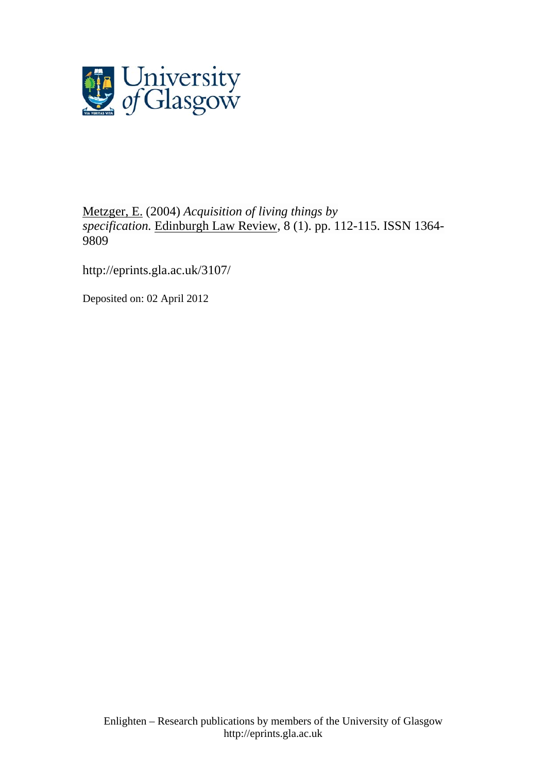

# [Metzger, E.](http://eprints.gla.ac.uk/view/author/4869.html) (2004) *Acquisition of living things by specification.* [Edinburgh Law Review](http://eprints.gla.ac.uk/view/journal_volume/Edinburgh_Law_Review.html), 8 (1). pp. 112-115. ISSN 1364- 9809

<http://eprints.gla.ac.uk/3107/>

Deposited on: 02 April 2012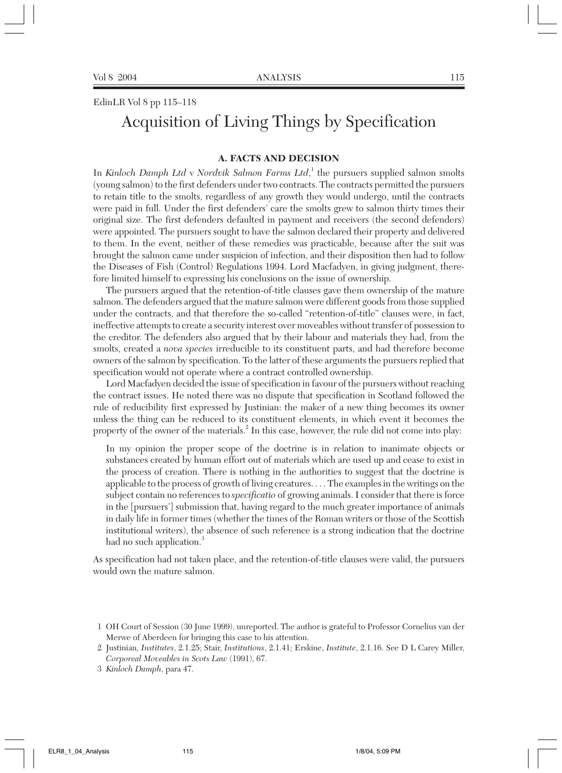# EdinLR Vol 8 pp 115–118 Acquisition of Living Things by Specification

## **A. FACTS AND DECISION**

In *Kinloch Damph Ltd* v *Nordvik Salmon Farms Ltd*, <sup>1</sup> the pursuers supplied salmon smolts (young salmon) to the first defenders under two contracts. The contracts permitted the pursuers to retain title to the smolts, regardless of any growth they would undergo, until the contracts were paid in full. Under the first defenders' care the smolts grew to salmon thirty times their original size. The first defenders defaulted in payment and receivers (the second defenders) were appointed. The pursuers sought to have the salmon declared their property and delivered to them. In the event, neither of these remedies was practicable, because after the suit was brought the salmon came under suspicion of infection, and their disposition then had to follow the Diseases of Fish (Control) Regulations 1994. Lord Macfadyen, in giving judgment, therefore limited himself to expressing his conclusions on the issue of ownership.

The pursuers argued that the retention-of-title clauses gave them ownership of the mature salmon. The defenders argued that the mature salmon were different goods from those supplied under the contracts, and that therefore the so-called "retention-of-title" clauses were, in fact, ineffective attempts to create a security interest over moveables without transfer of possession to the creditor. The defenders also argued that by their labour and materials they had, from the smolts, created a *nova species* irreducible to its constituent parts, and had therefore become owners of the salmon by specification. To the latter of these arguments the pursuers replied that specification would not operate where a contract controlled ownership.

Lord Macfadyen decided the issue of specification in favour of the pursuers without reaching the contract issues. He noted there was no dispute that specification in Scotland followed the rule of reducibility first expressed by Justinian: the maker of a new thing becomes its owner unless the thing can be reduced to its constituent elements, in which event it becomes the property of the owner of the materials.<sup>2</sup> In this case, however, the rule did not come into play:

In my opinion the proper scope of the doctrine is in relation to inanimate objects or substances created by human effort out of materials which are used up and cease to exist in the process of creation. There is nothing in the authorities to suggest that the doctrine is applicable to the process of growth of living creatures. . . . The examples in the writings on the subject contain no references to *specificatio* of growing animals. I consider that there is force in the [pursuers'] submission that, having regard to the much greater importance of animals in daily life in former times (whether the times of the Roman writers or those of the Scottish institutional writers), the absence of such reference is a strong indication that the doctrine had no such application.<sup>3</sup>

As specification had not taken place, and the retention-of-title clauses were valid, the pursuers would own the mature salmon.

3 *Kinloch Damph*, para 47.

<sup>1</sup> OH Court of Session (30 June 1999), unreported. The author is grateful to Professor Cornelius van der Merwe of Aberdeen for bringing this case to his attention.

<sup>2</sup> Justinian*, Institutes*, 2.1.25; Stair, *Institutions*, 2.1.41; Erskine, *Institute*, 2.1.16. See D L Carey Miller, *Corporeal Moveables in Scots Law* (1991), 67.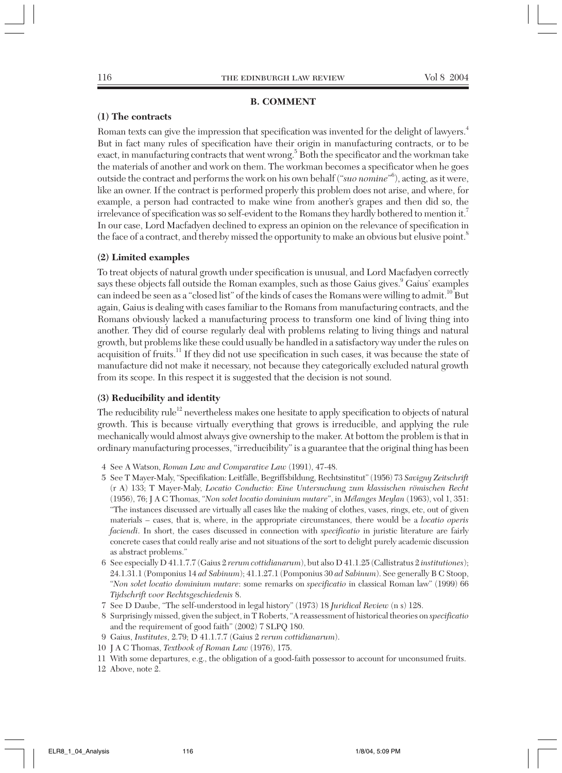#### **B. COMMENT**

#### **(1) The contracts**

Roman texts can give the impression that specification was invented for the delight of lawyers.<sup>4</sup> But in fact many rules of specification have their origin in manufacturing contracts, or to be exact, in manufacturing contracts that went wrong.<sup>5</sup> Both the specificator and the workman take the materials of another and work on them. The workman becomes a specificator when he goes outside the contract and performs the work on his own behalf ("*suo nomine*" 6 ), acting, as it were, like an owner. If the contract is performed properly this problem does not arise, and where, for example, a person had contracted to make wine from another's grapes and then did so, the irrelevance of specification was so self-evident to the Romans they hardly bothered to mention it.7 In our case, Lord Macfadyen declined to express an opinion on the relevance of specification in the face of a contract, and thereby missed the opportunity to make an obvious but elusive point.<sup>8</sup>

#### **(2) Limited examples**

To treat objects of natural growth under specification is unusual, and Lord Macfadyen correctly says these objects fall outside the Roman examples, such as those Gaius gives.<sup>9</sup> Gaius' examples can indeed be seen as a "closed list" of the kinds of cases the Romans were willing to admit.<sup>10</sup> But again, Gaius is dealing with cases familiar to the Romans from manufacturing contracts, and the Romans obviously lacked a manufacturing process to transform one kind of living thing into another. They did of course regularly deal with problems relating to living things and natural growth, but problems like these could usually be handled in a satisfactory way under the rules on acquisition of fruits.<sup>11</sup> If they did not use specification in such cases, it was because the state of manufacture did not make it necessary, not because they categorically excluded natural growth from its scope. In this respect it is suggested that the decision is not sound.

#### **(3) Reducibility and identity**

The reducibility rule<sup>12</sup> nevertheless makes one hesitate to apply specification to objects of natural growth. This is because virtually everything that grows is irreducible, and applying the rule mechanically would almost always give ownership to the maker. At bottom the problem is that in ordinary manufacturing processes, "irreducibility" is a guarantee that the original thing has been

- 4 See A Watson, *Roman Law and Comparative Law* (1991), 47-48.
- 5 See T Mayer-Maly, "Specifikation: Leitfälle, Begriffsbildung, Rechtsinstitut" (1956) 73 *Savigny Zeitschrift* (r A) 133; T Mayer-Maly, *Locatio Conductio: Eine Untersuchung zum klassischen römischen Recht* (1956), 76; J A C Thomas, "*Non solet locatio dominium mutare*", in *Mélanges Meylan* (1963), vol 1, 351: "The instances discussed are virtually all cases like the making of clothes, vases, rings, etc, out of given materials – cases, that is, where, in the appropriate circumstances, there would be a *locatio operis faciendi*. In short, the cases discussed in connection with *specificatio* in juristic literature are fairly concrete cases that could really arise and not situations of the sort to delight purely academic discussion as abstract problems."
- 6 See especially D 41.1.7.7 (Gaius 2 *rerum cottidianarum*), but also D 41.1.25 (Callistratus 2 *institutiones*); 24.1.31.1 (Pomponius 14 *ad Sabinum*); 41.1.27.1 (Pomponius 30 *ad Sabinum*). See generally B C Stoop, "*Non solet locatio dominium mutare*: some remarks on *specificatio* in classical Roman law" (1999) 66 *Tijdschrift voor Rechtsgeschiedenis* 8.
- 7 See D Daube, "The self-understood in legal history" (1973) 18 *Juridical Review* (n s) 128.
- 8 Surprisingly missed, given the subject, in T Roberts, "A reassessment of historical theories on *specificatio* and the requirement of good faith" (2002) 7 SLPQ 180.
- 9 Gaius, *Institutes*, 2.79; D 41.1.7.7 (Gaius 2 *rerum cottidianarum*).
- 10 J A C Thomas, *Textbook of Roman Law* (1976), 175.
- 11 With some departures, e.g., the obligation of a good-faith possessor to account for unconsumed fruits.

12 Above, note 2.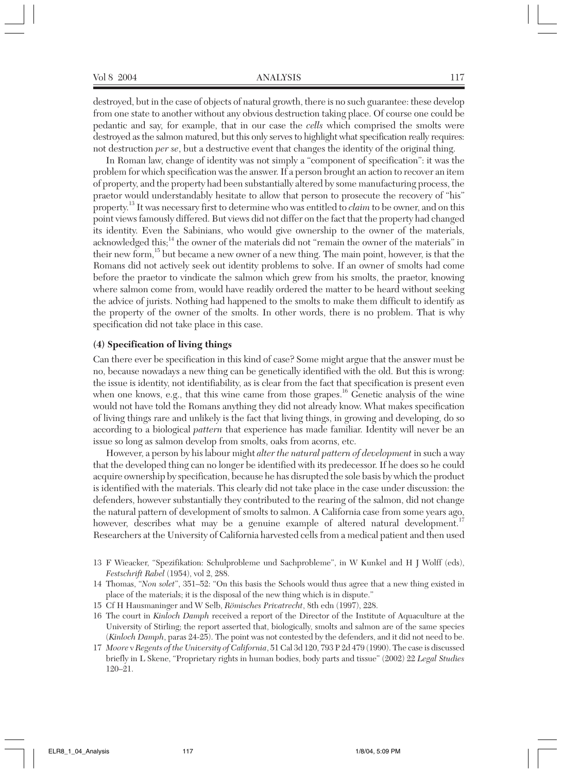destroyed, but in the case of objects of natural growth, there is no such guarantee: these develop from one state to another without any obvious destruction taking place. Of course one could be pedantic and say, for example, that in our case the *cells* which comprised the smolts were destroyed as the salmon matured, but this only serves to highlight what specification really requires: not destruction *per se*, but a destructive event that changes the identity of the original thing.

In Roman law, change of identity was not simply a "component of specification": it was the problem for which specification was the answer. If a person brought an action to recover an item of property, and the property had been substantially altered by some manufacturing process, the praetor would understandably hesitate to allow that person to prosecute the recovery of "his" property.<sup>13</sup> It was necessary first to determine who was entitled to *claim* to be owner, and on this point views famously differed. But views did not differ on the fact that the property had changed its identity. Even the Sabinians, who would give ownership to the owner of the materials, acknowledged this;<sup>14</sup> the owner of the materials did not "remain the owner of the materials" in their new form,<sup>15</sup> but became a new owner of a new thing. The main point, however, is that the Romans did not actively seek out identity problems to solve. If an owner of smolts had come before the praetor to vindicate the salmon which grew from his smolts, the praetor, knowing where salmon come from, would have readily ordered the matter to be heard without seeking the advice of jurists. Nothing had happened to the smolts to make them difficult to identify as the property of the owner of the smolts. In other words, there is no problem. That is why specification did not take place in this case.

### **(4) Specification of living things**

Can there ever be specification in this kind of case? Some might argue that the answer must be no, because nowadays a new thing can be genetically identified with the old. But this is wrong: the issue is identity, not identifiability, as is clear from the fact that specification is present even when one knows, e.g., that this wine came from those grapes.<sup>16</sup> Genetic analysis of the wine would not have told the Romans anything they did not already know. What makes specification of living things rare and unlikely is the fact that living things, in growing and developing, do so according to a biological *pattern* that experience has made familiar. Identity will never be an issue so long as salmon develop from smolts, oaks from acorns, etc.

However, a person by his labour might *alter the natural pattern of development* in such a way that the developed thing can no longer be identified with its predecessor. If he does so he could acquire ownership by specification, because he has disrupted the sole basis by which the product is identified with the materials. This clearly did not take place in the case under discussion: the defenders, however substantially they contributed to the rearing of the salmon, did not change the natural pattern of development of smolts to salmon. A California case from some years ago, however, describes what may be a genuine example of altered natural development.<sup>17</sup> Researchers at the University of California harvested cells from a medical patient and then used

- 13 F Wieacker, "Spezifikation: Schulprobleme und Sachprobleme", in W Kunkel and H J Wolff (eds), *Festschrift Rabel* (1954), vol 2, 288.
- 14 Thomas, "*Non solet*", 351–52: "On this basis the Schools would thus agree that a new thing existed in place of the materials; it is the disposal of the new thing which is in dispute."
- 15 Cf H Hausmaninger and W Selb, *Römisches Privatrecht*, 8th edn (1997), 228.
- 16 The court in *Kinloch Damph* received a report of the Director of the Institute of Aquaculture at the University of Stirling; the report asserted that, biologically, smolts and salmon are of the same species (*Kinloch Damph*, paras 24-25). The point was not contested by the defenders, and it did not need to be.
- 17 *Moore* v *Regents of the University of California*, 51 Cal 3d 120, 793 P 2d 479 (1990). The case is discussed briefly in L Skene, "Proprietary rights in human bodies, body parts and tissue" (2002) 22 *Legal Studies* 120–21.